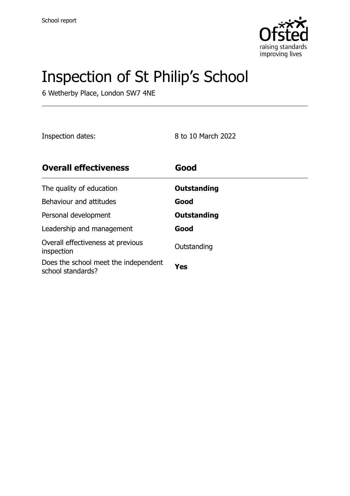

# Inspection of St Philip's School

6 Wetherby Place, London SW7 4NE

Inspection dates: 8 to 10 March 2022

| <b>Overall effectiveness</b>                              | Good               |
|-----------------------------------------------------------|--------------------|
| The quality of education                                  | Outstanding        |
| Behaviour and attitudes                                   | Good               |
| Personal development                                      | <b>Outstanding</b> |
| Leadership and management                                 | Good               |
| Overall effectiveness at previous<br>inspection           | Outstanding        |
| Does the school meet the independent<br>school standards? | Yes                |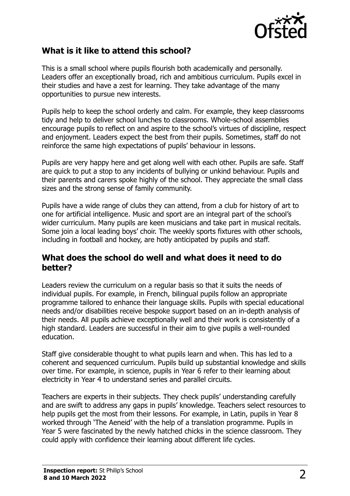

### **What is it like to attend this school?**

This is a small school where pupils flourish both academically and personally. Leaders offer an exceptionally broad, rich and ambitious curriculum. Pupils excel in their studies and have a zest for learning. They take advantage of the many opportunities to pursue new interests.

Pupils help to keep the school orderly and calm. For example, they keep classrooms tidy and help to deliver school lunches to classrooms. Whole-school assemblies encourage pupils to reflect on and aspire to the school's virtues of discipline, respect and enjoyment. Leaders expect the best from their pupils. Sometimes, staff do not reinforce the same high expectations of pupils' behaviour in lessons.

Pupils are very happy here and get along well with each other. Pupils are safe. Staff are quick to put a stop to any incidents of bullying or unkind behaviour. Pupils and their parents and carers spoke highly of the school. They appreciate the small class sizes and the strong sense of family community.

Pupils have a wide range of clubs they can attend, from a club for history of art to one for artificial intelligence. Music and sport are an integral part of the school's wider curriculum. Many pupils are keen musicians and take part in musical recitals. Some join a local leading boys' choir. The weekly sports fixtures with other schools, including in football and hockey, are hotly anticipated by pupils and staff.

#### **What does the school do well and what does it need to do better?**

Leaders review the curriculum on a regular basis so that it suits the needs of individual pupils. For example, in French, bilingual pupils follow an appropriate programme tailored to enhance their language skills. Pupils with special educational needs and/or disabilities receive bespoke support based on an in-depth analysis of their needs. All pupils achieve exceptionally well and their work is consistently of a high standard. Leaders are successful in their aim to give pupils a well-rounded education.

Staff give considerable thought to what pupils learn and when. This has led to a coherent and sequenced curriculum. Pupils build up substantial knowledge and skills over time. For example, in science, pupils in Year 6 refer to their learning about electricity in Year 4 to understand series and parallel circuits.

Teachers are experts in their subjects. They check pupils' understanding carefully and are swift to address any gaps in pupils' knowledge. Teachers select resources to help pupils get the most from their lessons. For example, in Latin, pupils in Year 8 worked through 'The Aeneid' with the help of a translation programme. Pupils in Year 5 were fascinated by the newly hatched chicks in the science classroom. They could apply with confidence their learning about different life cycles.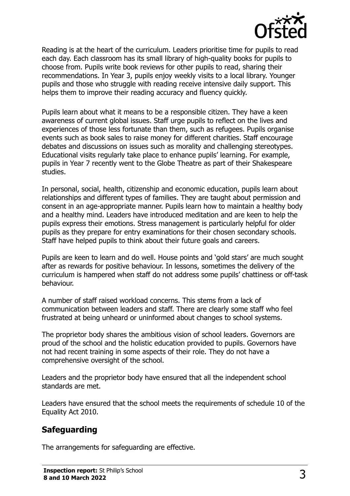

Reading is at the heart of the curriculum. Leaders prioritise time for pupils to read each day. Each classroom has its small library of high-quality books for pupils to choose from. Pupils write book reviews for other pupils to read, sharing their recommendations. In Year 3, pupils enjoy weekly visits to a local library. Younger pupils and those who struggle with reading receive intensive daily support. This helps them to improve their reading accuracy and fluency quickly.

Pupils learn about what it means to be a responsible citizen. They have a keen awareness of current global issues. Staff urge pupils to reflect on the lives and experiences of those less fortunate than them, such as refugees. Pupils organise events such as book sales to raise money for different charities. Staff encourage debates and discussions on issues such as morality and challenging stereotypes. Educational visits regularly take place to enhance pupils' learning. For example, pupils in Year 7 recently went to the Globe Theatre as part of their Shakespeare studies.

In personal, social, health, citizenship and economic education, pupils learn about relationships and different types of families. They are taught about permission and consent in an age-appropriate manner. Pupils learn how to maintain a healthy body and a healthy mind. Leaders have introduced meditation and are keen to help the pupils express their emotions. Stress management is particularly helpful for older pupils as they prepare for entry examinations for their chosen secondary schools. Staff have helped pupils to think about their future goals and careers.

Pupils are keen to learn and do well. House points and 'gold stars' are much sought after as rewards for positive behaviour. In lessons, sometimes the delivery of the curriculum is hampered when staff do not address some pupils' chattiness or off-task behaviour.

A number of staff raised workload concerns. This stems from a lack of communication between leaders and staff. There are clearly some staff who feel frustrated at being unheard or uninformed about changes to school systems.

The proprietor body shares the ambitious vision of school leaders. Governors are proud of the school and the holistic education provided to pupils. Governors have not had recent training in some aspects of their role. They do not have a comprehensive oversight of the school.

Leaders and the proprietor body have ensured that all the independent school standards are met.

Leaders have ensured that the school meets the requirements of schedule 10 of the Equality Act 2010.

## **Safeguarding**

The arrangements for safeguarding are effective.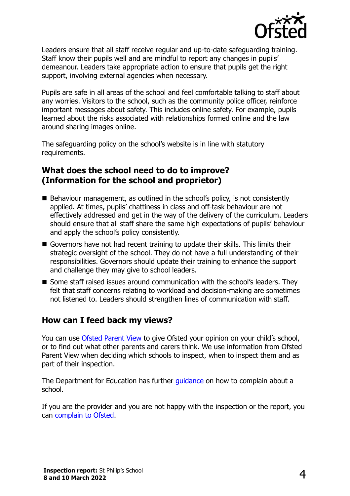

Leaders ensure that all staff receive regular and up-to-date safeguarding training. Staff know their pupils well and are mindful to report any changes in pupils' demeanour. Leaders take appropriate action to ensure that pupils get the right support, involving external agencies when necessary.

Pupils are safe in all areas of the school and feel comfortable talking to staff about any worries. Visitors to the school, such as the community police officer, reinforce important messages about safety. This includes online safety. For example, pupils learned about the risks associated with relationships formed online and the law around sharing images online.

The safeguarding policy on the school's website is in line with statutory requirements.

#### **What does the school need to do to improve? (Information for the school and proprietor)**

- Behaviour management, as outlined in the school's policy, is not consistently applied. At times, pupils' chattiness in class and off-task behaviour are not effectively addressed and get in the way of the delivery of the curriculum. Leaders should ensure that all staff share the same high expectations of pupils' behaviour and apply the school's policy consistently.
- Governors have not had recent training to update their skills. This limits their strategic oversight of the school. They do not have a full understanding of their responsibilities. Governors should update their training to enhance the support and challenge they may give to school leaders.
- Some staff raised issues around communication with the school's leaders. They felt that staff concerns relating to workload and decision-making are sometimes not listened to. Leaders should strengthen lines of communication with staff.

#### **How can I feed back my views?**

You can use [Ofsted Parent View](http://parentview.ofsted.gov.uk/) to give Ofsted your opinion on your child's school, or to find out what other parents and carers think. We use information from Ofsted Parent View when deciding which schools to inspect, when to inspect them and as part of their inspection.

The Department for Education has further quidance on how to complain about a school.

If you are the provider and you are not happy with the inspection or the report, you can [complain to Ofsted.](http://www.gov.uk/complain-ofsted-report)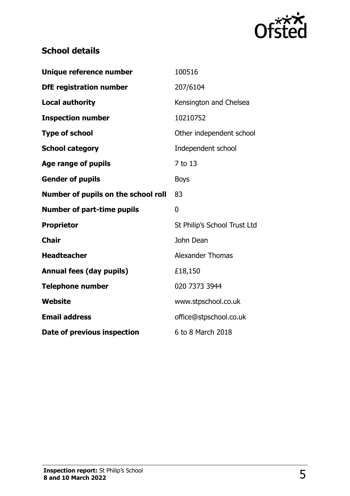

## **School details**

| Unique reference number             | 100516                       |
|-------------------------------------|------------------------------|
| <b>DfE registration number</b>      | 207/6104                     |
| <b>Local authority</b>              | Kensington and Chelsea       |
| <b>Inspection number</b>            | 10210752                     |
| <b>Type of school</b>               | Other independent school     |
| <b>School category</b>              | Independent school           |
| Age range of pupils                 | 7 to 13                      |
| <b>Gender of pupils</b>             | <b>Boys</b>                  |
| Number of pupils on the school roll | 83                           |
| <b>Number of part-time pupils</b>   | 0                            |
| <b>Proprietor</b>                   | St Philip's School Trust Ltd |
| <b>Chair</b>                        | John Dean                    |
| <b>Headteacher</b>                  | <b>Alexander Thomas</b>      |
| <b>Annual fees (day pupils)</b>     | £18,150                      |
| <b>Telephone number</b>             | 020 7373 3944                |
| <b>Website</b>                      | www.stpschool.co.uk          |
| <b>Email address</b>                | office@stpschool.co.uk       |
| Date of previous inspection         | 6 to 8 March 2018            |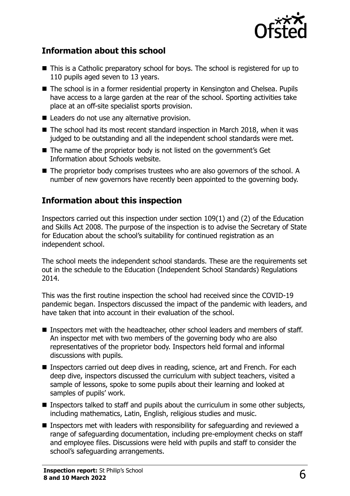

### **Information about this school**

- This is a Catholic preparatory school for boys. The school is registered for up to 110 pupils aged seven to 13 years.
- The school is in a former residential property in Kensington and Chelsea. Pupils have access to a large garden at the rear of the school. Sporting activities take place at an off-site specialist sports provision.
- Leaders do not use any alternative provision.
- The school had its most recent standard inspection in March 2018, when it was judged to be outstanding and all the independent school standards were met.
- The name of the proprietor body is not listed on the government's Get Information about Schools website.
- The proprietor body comprises trustees who are also governors of the school. A number of new governors have recently been appointed to the governing body.

#### **Information about this inspection**

Inspectors carried out this inspection under section 109(1) and (2) of the Education and Skills Act 2008. The purpose of the inspection is to advise the Secretary of State for Education about the school's suitability for continued registration as an independent school.

The school meets the independent school standards. These are the requirements set out in the schedule to the Education (Independent School Standards) Regulations 2014.

This was the first routine inspection the school had received since the COVID-19 pandemic began. Inspectors discussed the impact of the pandemic with leaders, and have taken that into account in their evaluation of the school.

- Inspectors met with the headteacher, other school leaders and members of staff. An inspector met with two members of the governing body who are also representatives of the proprietor body. Inspectors held formal and informal discussions with pupils.
- Inspectors carried out deep dives in reading, science, art and French. For each deep dive, inspectors discussed the curriculum with subject teachers, visited a sample of lessons, spoke to some pupils about their learning and looked at samples of pupils' work.
- $\blacksquare$  Inspectors talked to staff and pupils about the curriculum in some other subjects, including mathematics, Latin, English, religious studies and music.
- Inspectors met with leaders with responsibility for safeguarding and reviewed a range of safeguarding documentation, including pre-employment checks on staff and employee files. Discussions were held with pupils and staff to consider the school's safeguarding arrangements.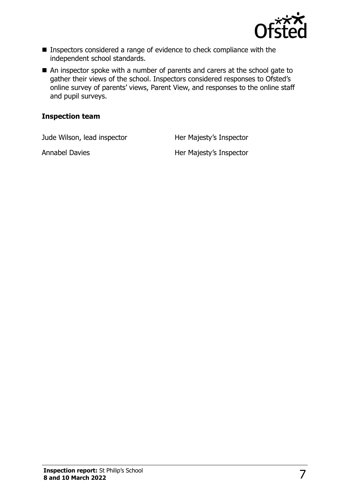

- Inspectors considered a range of evidence to check compliance with the independent school standards.
- An inspector spoke with a number of parents and carers at the school gate to gather their views of the school. Inspectors considered responses to Ofsted's online survey of parents' views, Parent View, and responses to the online staff and pupil surveys.

#### **Inspection team**

Jude Wilson, lead inspector **Her Majesty's Inspector** 

Annabel Davies **Her Majesty's Inspector**